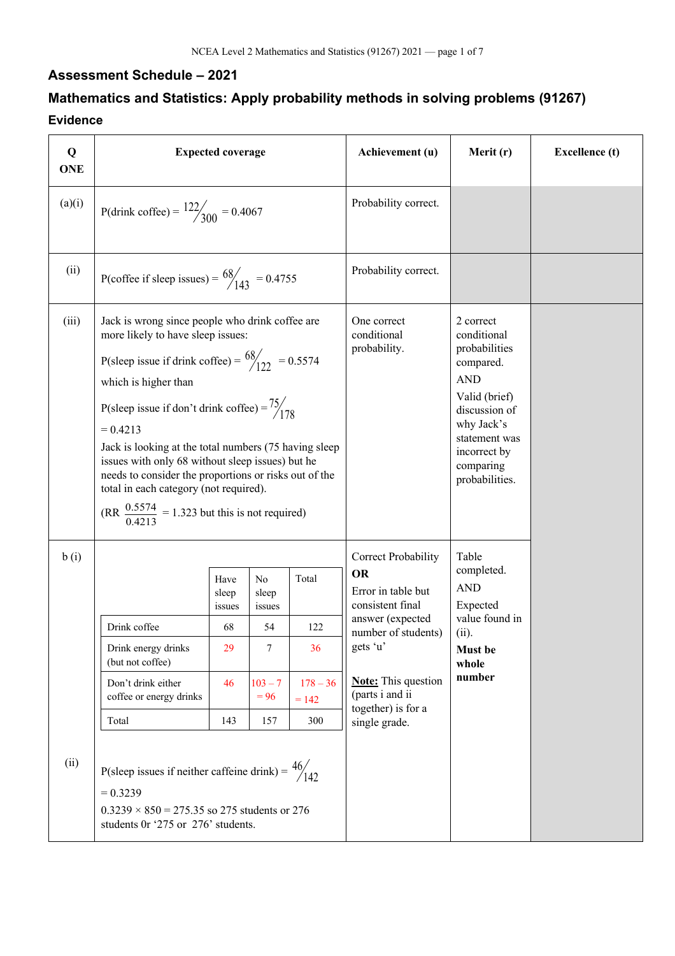## **Assessment Schedule – 2021**

## **Mathematics and Statistics: Apply probability methods in solving problems (91267) Evidence**

| Q<br><b>ONE</b> | <b>Expected coverage</b>                                                                                                                                                                                                                                                                     |                                                                                                                                                                                                                                                                                                                                                                                                                                                                                                |                                                                       |                                                    | Achievement (u)                                                                                                                                                                                                           | Merit (r)                                                                                                                                                                            | <b>Excellence</b> (t) |
|-----------------|----------------------------------------------------------------------------------------------------------------------------------------------------------------------------------------------------------------------------------------------------------------------------------------------|------------------------------------------------------------------------------------------------------------------------------------------------------------------------------------------------------------------------------------------------------------------------------------------------------------------------------------------------------------------------------------------------------------------------------------------------------------------------------------------------|-----------------------------------------------------------------------|----------------------------------------------------|---------------------------------------------------------------------------------------------------------------------------------------------------------------------------------------------------------------------------|--------------------------------------------------------------------------------------------------------------------------------------------------------------------------------------|-----------------------|
| (a)(i)          | P(drink coffee) = $\frac{122}{300}$ = 0.4067                                                                                                                                                                                                                                                 |                                                                                                                                                                                                                                                                                                                                                                                                                                                                                                |                                                                       |                                                    | Probability correct.                                                                                                                                                                                                      |                                                                                                                                                                                      |                       |
| (ii)            | P(coffee if sleep issues) = $\frac{68}{143}$ = 0.4755                                                                                                                                                                                                                                        |                                                                                                                                                                                                                                                                                                                                                                                                                                                                                                |                                                                       |                                                    | Probability correct.                                                                                                                                                                                                      |                                                                                                                                                                                      |                       |
| (iii)           | which is higher than<br>$= 0.4213$                                                                                                                                                                                                                                                           | Jack is wrong since people who drink coffee are<br>more likely to have sleep issues:<br>P(sleep issue if drink coffee) = $\frac{68}{122}$ = 0.5574<br>P(sleep issue if don't drink coffee) = $\frac{75}{178}$<br>Jack is looking at the total numbers (75 having sleep<br>issues with only 68 without sleep issues) but he<br>needs to consider the proportions or risks out of the<br>total in each category (not required).<br>(RR $\frac{0.5574}{0.4213}$ = 1.323 but this is not required) |                                                                       |                                                    | One correct<br>conditional<br>probability.                                                                                                                                                                                | 2 correct<br>conditional<br>probabilities<br>compared.<br><b>AND</b><br>Valid (brief)<br>discussion of<br>why Jack's<br>statement was<br>incorrect by<br>comparing<br>probabilities. |                       |
| b(i)<br>(ii)    | Drink coffee<br>Drink energy drinks<br>(but not coffee)<br>Don't drink either<br>coffee or energy drinks<br>Total<br>P(sleep issues if neither caffeine drink) = $\frac{46}{142}$<br>$= 0.3239$<br>$0.3239 \times 850 = 275.35$ so 275 students or 276<br>students 0r '275 or 276' students. | Have<br>sleep<br>issues<br>68<br>29<br>46<br>143                                                                                                                                                                                                                                                                                                                                                                                                                                               | No<br>sleep<br><i>issues</i><br>54<br>7<br>$103 - 7$<br>$= 96$<br>157 | Total<br>122<br>36<br>$178 - 36$<br>$= 142$<br>300 | Correct Probability<br><b>OR</b><br>Error in table but<br>consistent final<br>answer (expected<br>number of students)<br>gets 'u'<br><b>Note:</b> This question<br>(parts i and ii<br>together) is for a<br>single grade. | Table<br>completed.<br><b>AND</b><br>Expected<br>value found in<br>(ii).<br>Must be<br>whole<br>number                                                                               |                       |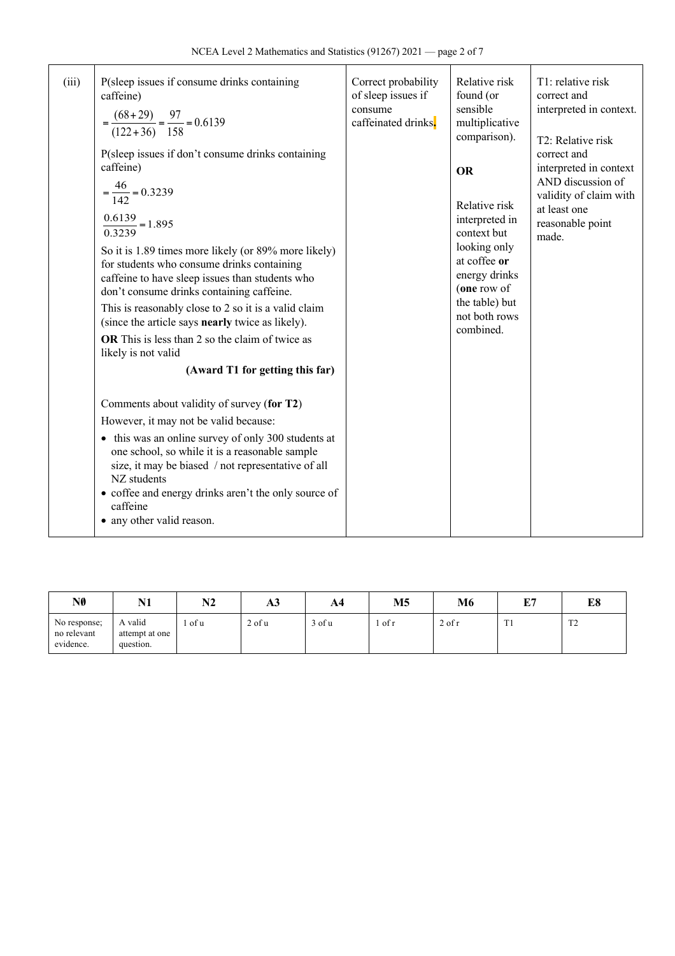| (iii) | P(sleep issues if consume drinks containing<br>caffeine)<br>$=\frac{(68+29)}{(122+36)}=\frac{97}{158}=0.6139$<br>P(sleep issues if don't consume drinks containing<br>caffeine)<br>$=\frac{46}{142} = 0.3239$<br>$\frac{0.6139}{0.3239} = 1.895$<br>So it is 1.89 times more likely (or 89% more likely)<br>for students who consume drinks containing<br>caffeine to have sleep issues than students who<br>don't consume drinks containing caffeine.<br>This is reasonably close to 2 so it is a valid claim<br>(since the article says nearly twice as likely).<br>OR This is less than 2 so the claim of twice as<br>likely is not valid<br>(Award T1 for getting this far) | Correct probability<br>of sleep issues if<br>consume<br>caffeinated drinks. | Relative risk<br>found (or<br>sensible<br>multiplicative<br>comparison).<br><b>OR</b><br>Relative risk<br>interpreted in<br>context but<br>looking only<br>at coffee or<br>energy drinks<br>(one row of<br>the table) but<br>not both rows<br>combined. | T1: relative risk<br>correct and<br>interpreted in context.<br>T2: Relative risk<br>correct and<br>interpreted in context<br>AND discussion of<br>validity of claim with<br>at least one<br>reasonable point<br>made. |
|-------|---------------------------------------------------------------------------------------------------------------------------------------------------------------------------------------------------------------------------------------------------------------------------------------------------------------------------------------------------------------------------------------------------------------------------------------------------------------------------------------------------------------------------------------------------------------------------------------------------------------------------------------------------------------------------------|-----------------------------------------------------------------------------|---------------------------------------------------------------------------------------------------------------------------------------------------------------------------------------------------------------------------------------------------------|-----------------------------------------------------------------------------------------------------------------------------------------------------------------------------------------------------------------------|
|       | Comments about validity of survey (for T2)<br>However, it may not be valid because:<br>• this was an online survey of only 300 students at<br>one school, so while it is a reasonable sample<br>size, it may be biased / not representative of all<br>NZ students<br>• coffee and energy drinks aren't the only source of<br>caffeine<br>• any other valid reason.                                                                                                                                                                                                                                                                                                              |                                                                             |                                                                                                                                                                                                                                                         |                                                                                                                                                                                                                       |

| NØ                                       | N <sub>1</sub><br>17 L                 | N2   | ЖJ         | A4     | M5     | M6       | гл<br>L 1       | L0                      |
|------------------------------------------|----------------------------------------|------|------------|--------|--------|----------|-----------------|-------------------------|
| No response;<br>no relevant<br>evidence. | A valid<br>attempt at one<br>question. | of u | $2$ of $u$ | 3 of u | of $r$ | $2$ of r | m.<br><b>TT</b> | $T^{\prime}$<br>$\perp$ |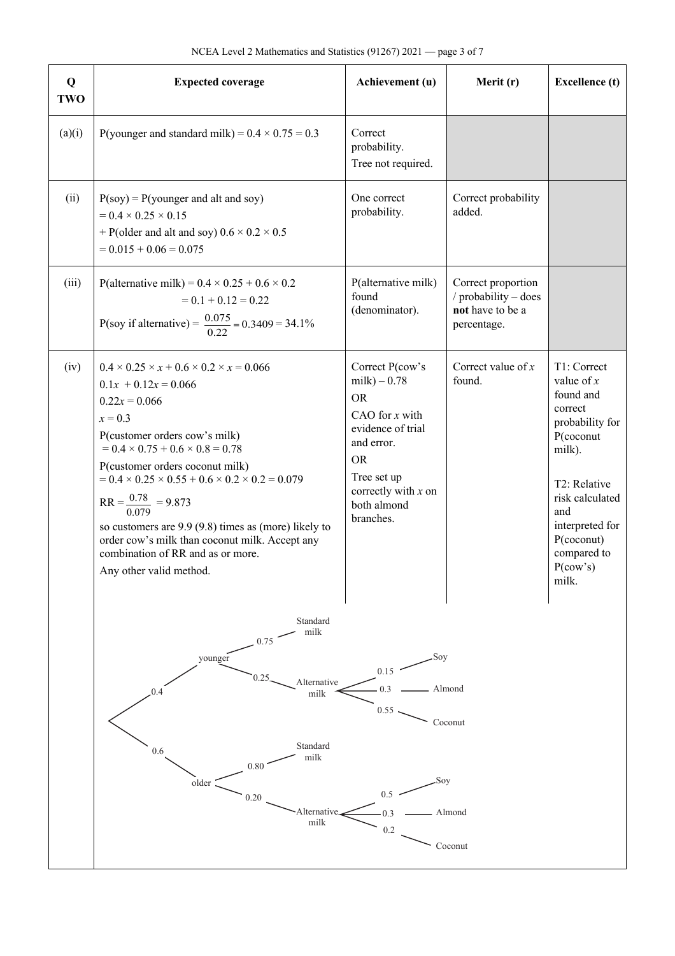| Q<br>TWO | <b>Expected coverage</b>                                                                                                                                                                                                                                                                                                                                                                                                                                                                                                              | Achievement (u)                                                                                                                                                                         | Merit (r)                                                                     | <b>Excellence</b> (t)                                                                                                                                                                                           |
|----------|---------------------------------------------------------------------------------------------------------------------------------------------------------------------------------------------------------------------------------------------------------------------------------------------------------------------------------------------------------------------------------------------------------------------------------------------------------------------------------------------------------------------------------------|-----------------------------------------------------------------------------------------------------------------------------------------------------------------------------------------|-------------------------------------------------------------------------------|-----------------------------------------------------------------------------------------------------------------------------------------------------------------------------------------------------------------|
| (a)(i)   | P(younger and standard milk) = $0.4 \times 0.75 = 0.3$                                                                                                                                                                                                                                                                                                                                                                                                                                                                                | Correct<br>probability.<br>Tree not required.                                                                                                                                           |                                                                               |                                                                                                                                                                                                                 |
| (ii)     | $P(soy) = P(younger and alt and soy)$<br>$= 0.4 \times 0.25 \times 0.15$<br>+ P(older and alt and soy) $0.6 \times 0.2 \times 0.5$<br>$= 0.015 + 0.06 = 0.075$                                                                                                                                                                                                                                                                                                                                                                        | One correct<br>probability.                                                                                                                                                             | Correct probability<br>added.                                                 |                                                                                                                                                                                                                 |
| (iii)    | P(alternative milk) = $0.4 \times 0.25 + 0.6 \times 0.2$<br>$= 0.1 + 0.12 = 0.22$<br>P(soy if alternative) = $\frac{0.075}{0.22}$ = 0.3409 = 34.1%                                                                                                                                                                                                                                                                                                                                                                                    | P(alternative milk)<br>found<br>(denominator).                                                                                                                                          | Correct proportion<br>/ probability - does<br>not have to be a<br>percentage. |                                                                                                                                                                                                                 |
| (iv)     | $0.4 \times 0.25 \times x + 0.6 \times 0.2 \times x = 0.066$<br>$0.1x + 0.12x = 0.066$<br>$0.22x = 0.066$<br>$x = 0.3$<br>P(customer orders cow's milk)<br>$= 0.4 \times 0.75 + 0.6 \times 0.8 = 0.78$<br>P(customer orders coconut milk)<br>$= 0.4 \times 0.25 \times 0.55 + 0.6 \times 0.2 \times 0.2 = 0.079$<br>$RR = \frac{0.78}{0.079} = 9.873$<br>so customers are $9.9$ ( $9.8$ ) times as (more) likely to<br>order cow's milk than coconut milk. Accept any<br>combination of RR and as or more.<br>Any other valid method. | Correct P(cow's<br>$milk$ ) – 0.78<br><b>OR</b><br>CAO for $x$ with<br>evidence of trial<br>and error.<br><b>OR</b><br>Tree set up<br>correctly with $x$ on<br>both almond<br>branches. | Correct value of $x$<br>found.                                                | T1: Correct<br>value of $x$<br>found and<br>correct<br>probability for<br>P(coconut<br>milk).<br>T2: Relative<br>risk calculated<br>and<br>interpreted for<br>$P$ (coconut)<br>compared to<br>P(cow's)<br>milk. |
|          | Standard<br>milk<br>0.75<br>younger<br>Alternative<br>0.4<br>milk<br>Standard<br>0.6<br>milk<br>0.80<br>older<br>0.20<br>Alternative<br>milk                                                                                                                                                                                                                                                                                                                                                                                          | Soy<br>0.15<br>0.3<br>0.55<br>Soy<br>0.5<br>0.3<br>0.2                                                                                                                                  | Almond<br>Coconut<br>Almond<br>Coconut                                        |                                                                                                                                                                                                                 |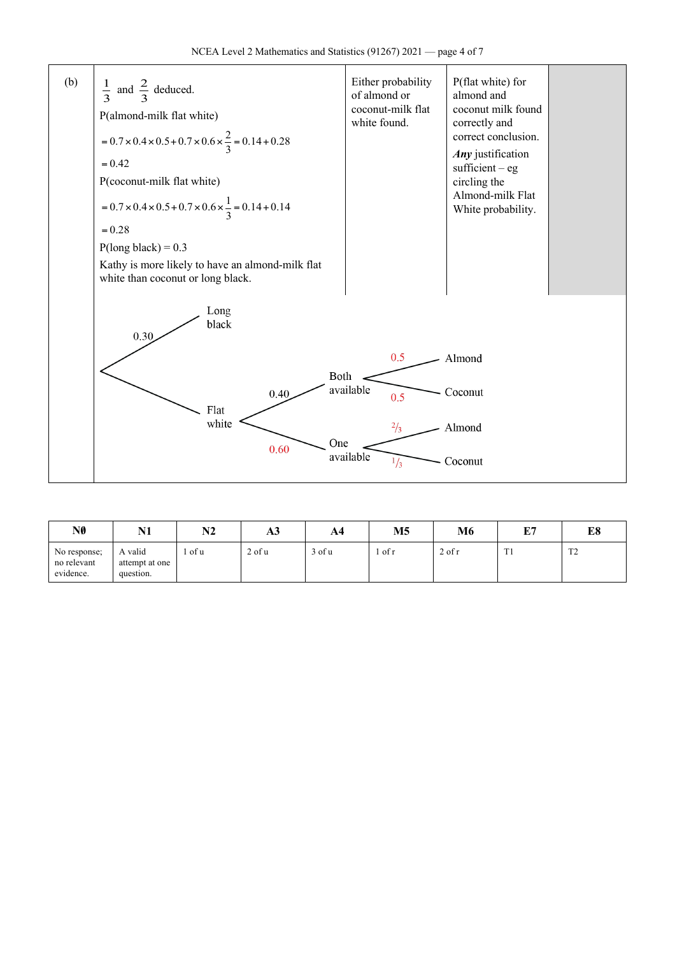

| NØ                                       | N1                                     | N <sub>2</sub> | AЭ     | A4         | М5     | M6         | 正ワ<br>ш,  | г٥<br>LО                |
|------------------------------------------|----------------------------------------|----------------|--------|------------|--------|------------|-----------|-------------------------|
| No response;<br>no relevant<br>evidence. | A valid<br>attempt at one<br>question. | l of u         | 2 of u | $3$ of $u$ | of $r$ | $2$ of $r$ | m.<br>. . | $T^{\prime}$<br>$\perp$ |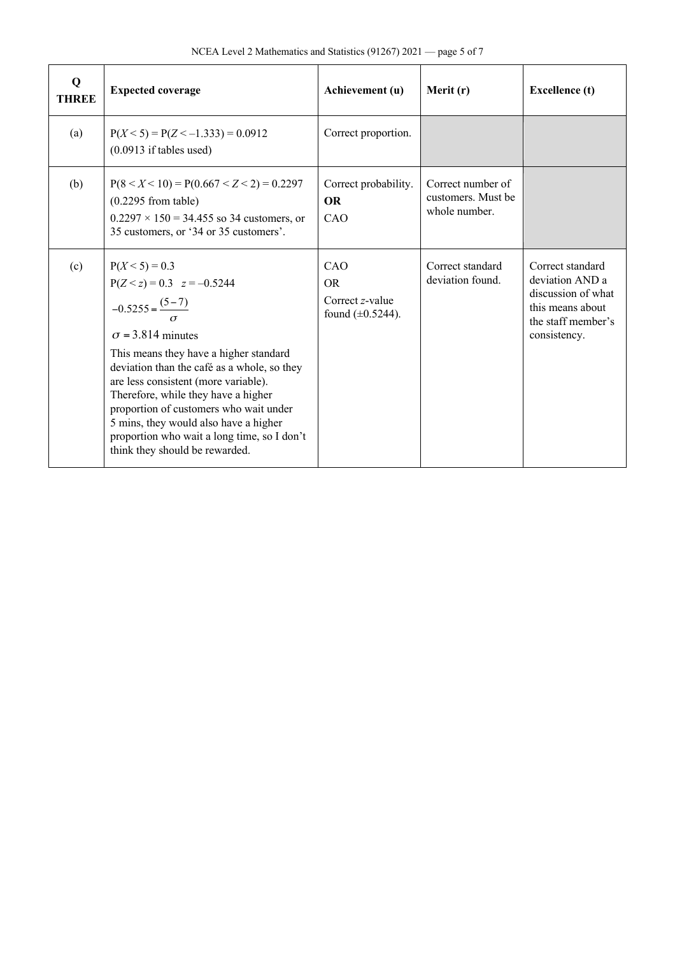| $\mathbf Q$<br><b>THREE</b> | <b>Expected coverage</b>                                                                                                                                                                                                                                                                                                                                                                                                                                  | Achievement (u)                                                  | Merit (r)                                                | <b>Excellence</b> (t)                                                                                               |
|-----------------------------|-----------------------------------------------------------------------------------------------------------------------------------------------------------------------------------------------------------------------------------------------------------------------------------------------------------------------------------------------------------------------------------------------------------------------------------------------------------|------------------------------------------------------------------|----------------------------------------------------------|---------------------------------------------------------------------------------------------------------------------|
| (a)                         | $P(X < 5) = P(Z < -1.333) = 0.0912$<br>$(0.0913$ if tables used)                                                                                                                                                                                                                                                                                                                                                                                          | Correct proportion.                                              |                                                          |                                                                                                                     |
| (b)                         | $P(8 < X < 10) = P(0.667 < Z < 2) = 0.2297$<br>$(0.2295$ from table)<br>$0.2297 \times 150 = 34.455$ so 34 customers, or<br>35 customers, or '34 or 35 customers'.                                                                                                                                                                                                                                                                                        | Correct probability.<br><b>OR</b><br>CAO                         | Correct number of<br>customers. Must be<br>whole number. |                                                                                                                     |
| (c)                         | $P(X < 5) = 0.3$<br>$P(Z < z) = 0.3$ $z = -0.5244$<br>$-0.5255 = \frac{(5-7)}{2}$<br>$\sigma$ = 3.814 minutes<br>This means they have a higher standard<br>deviation than the café as a whole, so they<br>are less consistent (more variable).<br>Therefore, while they have a higher<br>proportion of customers who wait under<br>5 mins, they would also have a higher<br>proportion who wait a long time, so I don't<br>think they should be rewarded. | CAO<br><b>OR</b><br>Correct $z$ -value<br>found $(\pm 0.5244)$ . | Correct standard<br>deviation found.                     | Correct standard<br>deviation AND a<br>discussion of what<br>this means about<br>the staff member's<br>consistency. |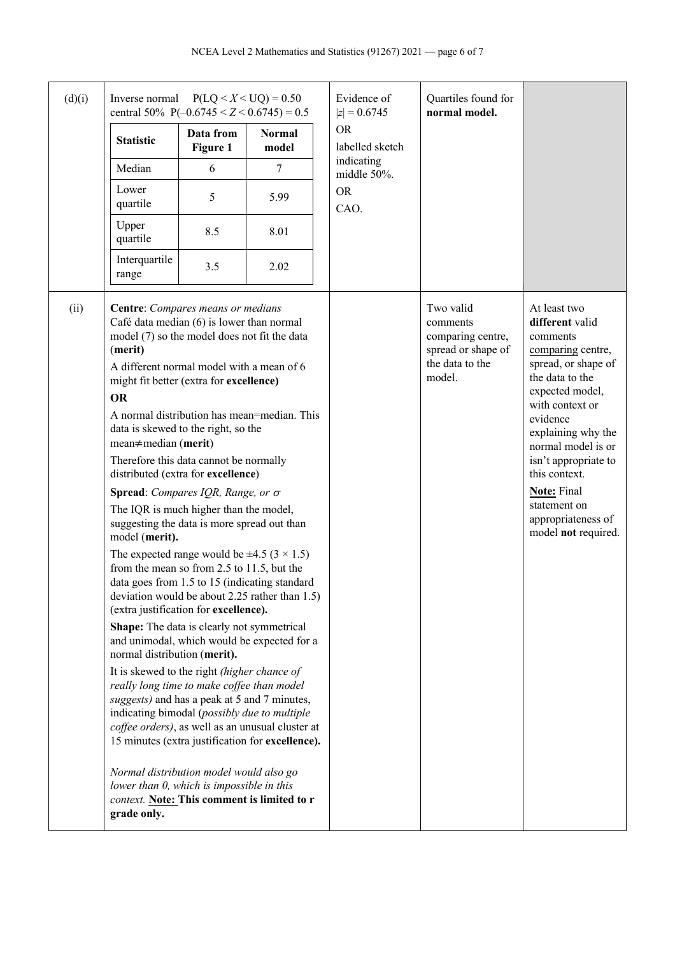| (d)(i) | Inverse normal<br>central 50% P( $-0.6745 < Z < 0.6745$ ) = 0.5                                                                                                                                                                                                                                                                                                                                                                                                                                                                                                                                                                                                                                                                                                                                                                                                                                                                                                                                                                                                                       |                       | $P(LQ < X < UQ) = 0.50$                                                                                                                                                                                                                                                                                                                              | Evidence of<br>$ z  = 0.6745$ | Quartiles found for<br>normal model.                                                          |                                                                                                                                                                                                                                                                                                                                      |
|--------|---------------------------------------------------------------------------------------------------------------------------------------------------------------------------------------------------------------------------------------------------------------------------------------------------------------------------------------------------------------------------------------------------------------------------------------------------------------------------------------------------------------------------------------------------------------------------------------------------------------------------------------------------------------------------------------------------------------------------------------------------------------------------------------------------------------------------------------------------------------------------------------------------------------------------------------------------------------------------------------------------------------------------------------------------------------------------------------|-----------------------|------------------------------------------------------------------------------------------------------------------------------------------------------------------------------------------------------------------------------------------------------------------------------------------------------------------------------------------------------|-------------------------------|-----------------------------------------------------------------------------------------------|--------------------------------------------------------------------------------------------------------------------------------------------------------------------------------------------------------------------------------------------------------------------------------------------------------------------------------------|
|        | <b>Statistic</b>                                                                                                                                                                                                                                                                                                                                                                                                                                                                                                                                                                                                                                                                                                                                                                                                                                                                                                                                                                                                                                                                      | Data from<br>Figure 1 | <b>Normal</b><br>model                                                                                                                                                                                                                                                                                                                               | <b>OR</b><br>labelled sketch  |                                                                                               |                                                                                                                                                                                                                                                                                                                                      |
|        | Median                                                                                                                                                                                                                                                                                                                                                                                                                                                                                                                                                                                                                                                                                                                                                                                                                                                                                                                                                                                                                                                                                | 6                     | 7                                                                                                                                                                                                                                                                                                                                                    | indicating<br>middle 50%.     |                                                                                               |                                                                                                                                                                                                                                                                                                                                      |
|        | Lower<br>quartile                                                                                                                                                                                                                                                                                                                                                                                                                                                                                                                                                                                                                                                                                                                                                                                                                                                                                                                                                                                                                                                                     | 5                     | 5.99                                                                                                                                                                                                                                                                                                                                                 | <b>OR</b><br>CAO.             |                                                                                               |                                                                                                                                                                                                                                                                                                                                      |
|        | Upper<br>quartile                                                                                                                                                                                                                                                                                                                                                                                                                                                                                                                                                                                                                                                                                                                                                                                                                                                                                                                                                                                                                                                                     | 8.5                   | 8.01                                                                                                                                                                                                                                                                                                                                                 |                               |                                                                                               |                                                                                                                                                                                                                                                                                                                                      |
|        | Interquartile<br>range                                                                                                                                                                                                                                                                                                                                                                                                                                                                                                                                                                                                                                                                                                                                                                                                                                                                                                                                                                                                                                                                | 3.5                   | 2.02                                                                                                                                                                                                                                                                                                                                                 |                               |                                                                                               |                                                                                                                                                                                                                                                                                                                                      |
| (ii)   | Centre: Compares means or medians<br>Café data median (6) is lower than normal<br>model (7) so the model does not fit the data<br>(merit)<br>A different normal model with a mean of 6<br>might fit better (extra for excellence)<br><b>OR</b><br>data is skewed to the right, so the<br>$mean \neq median$ (merit)<br>Therefore this data cannot be normally<br>distributed (extra for excellence)<br><b>Spread:</b> Compares IQR, Range, or $\sigma$<br>The IQR is much higher than the model,<br>suggesting the data is more spread out than<br>model (merit).<br>The expected range would be $\pm 4.5$ (3 $\times$ 1.5)<br>from the mean so from 2.5 to 11.5, but the<br>(extra justification for excellence).<br>Shape: The data is clearly not symmetrical<br>normal distribution (merit).<br>It is skewed to the right (higher chance of<br>really long time to make coffee than model<br>suggests) and has a peak at 5 and 7 minutes,<br>indicating bimodal (possibly due to multiple<br>Normal distribution model would also go<br>lower than 0, which is impossible in this |                       | A normal distribution has mean=median. This<br>data goes from 1.5 to 15 (indicating standard<br>deviation would be about 2.25 rather than 1.5)<br>and unimodal, which would be expected for a<br>coffee orders), as well as an unusual cluster at<br>15 minutes (extra justification for excellence).<br>context. Note: This comment is limited to r |                               | Two valid<br>comments<br>comparing centre,<br>spread or shape of<br>the data to the<br>model. | At least two<br>different valid<br>comments<br>comparing centre,<br>spread, or shape of<br>the data to the<br>expected model,<br>with context or<br>evidence<br>explaining why the<br>normal model is or<br>isn't appropriate to<br>this context.<br><b>Note:</b> Final<br>statement on<br>appropriateness of<br>model not required. |